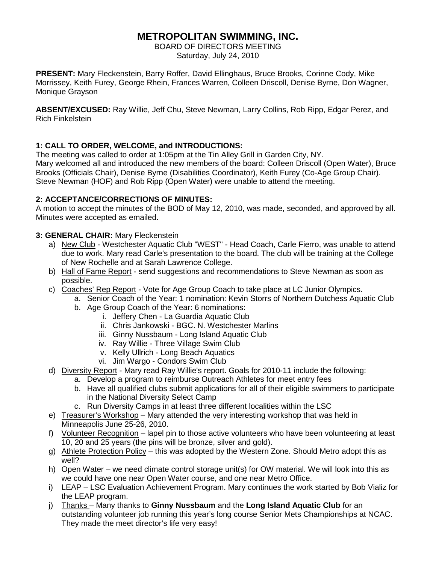# **METROPOLITAN SWIMMING, INC.**

BOARD OF DIRECTORS MEETING Saturday, July 24, 2010

**PRESENT:** Mary Fleckenstein, Barry Roffer, David Ellinghaus, Bruce Brooks, Corinne Cody, Mike Morrissey, Keith Furey, George Rhein, Frances Warren, Colleen Driscoll, Denise Byrne, Don Wagner, Monique Grayson

**ABSENT/EXCUSED:** Ray Willie, Jeff Chu, Steve Newman, Larry Collins, Rob Ripp, Edgar Perez, and Rich Finkelstein

# **1: CALL TO ORDER, WELCOME, and INTRODUCTIONS:**

The meeting was called to order at 1:05pm at the Tin Alley Grill in Garden City, NY. Mary welcomed all and introduced the new members of the board: Colleen Driscoll (Open Water), Bruce Brooks (Officials Chair), Denise Byrne (Disabilities Coordinator), Keith Furey (Co-Age Group Chair). Steve Newman (HOF) and Rob Ripp (Open Water) were unable to attend the meeting.

## **2: ACCEPTANCE/CORRECTIONS OF MINUTES:**

A motion to accept the minutes of the BOD of May 12, 2010, was made, seconded, and approved by all. Minutes were accepted as emailed.

## **3: GENERAL CHAIR:** Mary Fleckenstein

- a) New Club Westchester Aquatic Club "WEST" Head Coach, Carle Fierro, was unable to attend due to work. Mary read Carle's presentation to the board. The club will be training at the College of New Rochelle and at Sarah Lawrence College.
- b) Hall of Fame Report send suggestions and recommendations to Steve Newman as soon as possible.
- c) Coaches' Rep Report Vote for Age Group Coach to take place at LC Junior Olympics.
	- a. Senior Coach of the Year: 1 nomination: Kevin Storrs of Northern Dutchess Aquatic Club b. Age Group Coach of the Year: 6 nominations:
		- i. Jeffery Chen La Guardia Aquatic Club
		- ii. Chris Jankowski BGC. N. Westchester Marlins
		- iii. Ginny Nussbaum Long Island Aquatic Club
		- iv. Ray Willie Three Village Swim Club
		- v. Kelly Ullrich Long Beach Aquatics
		- vi. Jim Wargo Condors Swim Club
- d) Diversity Report Mary read Ray Willie's report. Goals for 2010-11 include the following:
	- a. Develop a program to reimburse Outreach Athletes for meet entry fees
	- b. Have all qualified clubs submit applications for all of their eligible swimmers to participate in the National Diversity Select Camp
	- c. Run Diversity Camps in at least three different localities within the LSC
- e) Treasurer's Workshop Mary attended the very interesting workshop that was held in Minneapolis June 25-26, 2010.
- f) Volunteer Recognition lapel pin to those active volunteers who have been volunteering at least 10, 20 and 25 years (the pins will be bronze, silver and gold).
- g) Athlete Protection Policy this was adopted by the Western Zone. Should Metro adopt this as well?
- h) Open Water we need climate control storage unit(s) for OW material. We will look into this as we could have one near Open Water course, and one near Metro Office.
- i) LEAP LSC Evaluation Achievement Program. Mary continues the work started by Bob Vializ for the LEAP program.
- j) Thanks Many thanks to **Ginny Nussbaum** and the **Long Island Aquatic Club** for an outstanding volunteer job running this year's long course Senior Mets Championships at NCAC. They made the meet director's life very easy!